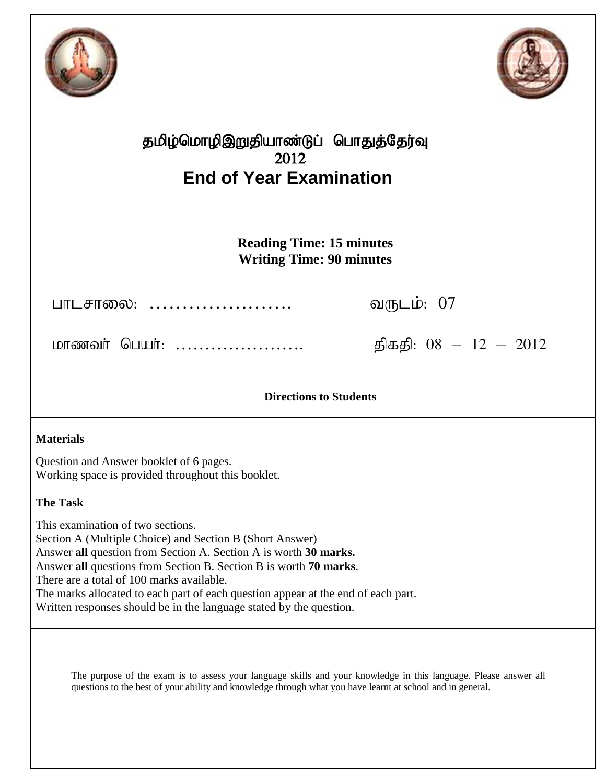



## தமிழ்மொழிஇறுதியாண்டுப் பொதுத்தேர்வு 2012 **End of Year Examination**

**Reading Time: 15 minutes Writing Time: 90 minutes**

ghlrhiy: …………………. tUlk;: 07

khzth; ngah;: …………………. jpfjp: 08 – 12 – 2012

**Directions to Students**

## **Materials**

Question and Answer booklet of 6 pages. Working space is provided throughout this booklet.

## **The Task**

This examination of two sections. Section A (Multiple Choice) and Section B (Short Answer) Answer **all** question from Section A. Section A is worth **30 marks.** Answer **all** questions from Section B. Section B is worth **70 marks**. There are a total of 100 marks available. The marks allocated to each part of each question appear at the end of each part. Written responses should be in the language stated by the question.

The purpose of the exam is to assess your language skills and your knowledge in this language. Please answer all questions to the best of your ability and knowledge through what you have learnt at school and in general.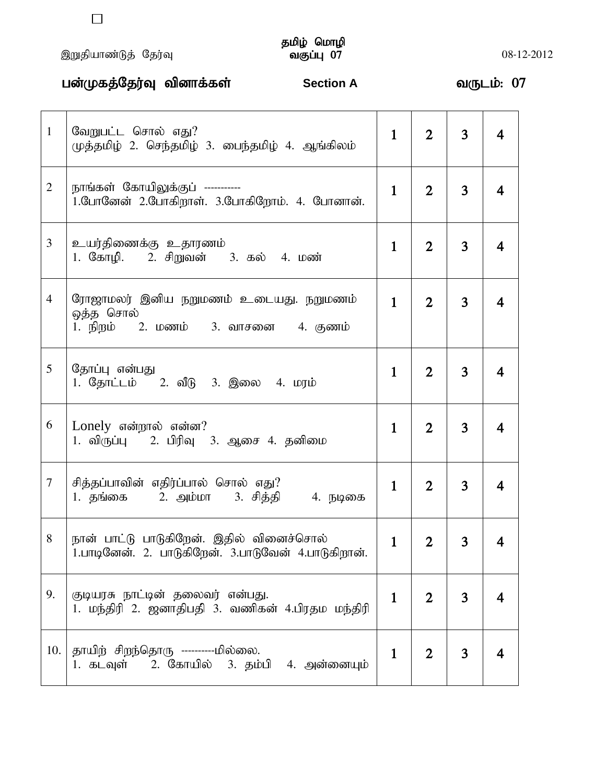,Wjpahz;Lj; Nju;T tFg;G 07 08-12-2012

# தமிழ் மொழி<br>வகுப்பு 07

|                | பன்முகத்தேர்வு வினாக்கள்<br><b>Section A</b>                                                    |              |                |                | வருடம்: 07              |  |
|----------------|-------------------------------------------------------------------------------------------------|--------------|----------------|----------------|-------------------------|--|
| $\mathbf{1}$   | வேறுபட்ட சொல் எது?<br>முத்தமிழ் 2. செந்தமிழ் 3. பைந்தமிழ் 4. ஆங்கிலம்                           | $\mathbf{1}$ | $\overline{2}$ | 3              | 4                       |  |
| $\overline{2}$ | நாங்கள் கோயிலுக்குப் -----------<br>1.போனேன் 2.போகிறாள். 3.போகிறோம். 4. போனான்.                 | $\mathbf{1}$ | $\overline{2}$ | $\overline{3}$ | 4                       |  |
| 3              | உயர்திணைக்கு உதாரணம்<br>1. கோழி. 2. சிறுவன் 3. கல் 4. மண்                                       | $\mathbf{1}$ | $\overline{2}$ | 3              | 4                       |  |
| $\overline{4}$ | ரோஜாமலர் இனிய நறுமணம் உடையது. நறுமணம்<br>ஒத்த சொல்<br>1. நிறம் 2. மணம் 3. வாசனை 4. குணம்        | $\mathbf{1}$ | $\overline{2}$ | $\overline{3}$ | $\overline{\mathbf{4}}$ |  |
| 5              | தோப்பு என்பது<br>1. தோட்டம் 2. வீடு 3. இலை 4. மரம்                                              | $\mathbf{1}$ | $\overline{2}$ | $\overline{3}$ | 4                       |  |
| 6              | Lonely என்றால் என்ன?<br>1. விருப்பு    2. பிரிவு   3. ஆசை 4. தனிமை                              | $\mathbf{1}$ | $\overline{2}$ | $\overline{3}$ | 4                       |  |
| $\tau$         | சித்தப்பாவின் எதிர்ப்பால் சொல் எது?<br>1. தங்கை      2. அம்மா     3. சித்தி        4. நடிகை     | $\mathbf{1}$ | $\overline{2}$ | 3              | 4                       |  |
| 8              | நான் பாட்டு பாடுகிறேன். இதில் வினைச்சொல்<br>1.பாடினேன். 2. பாடுகிறேன். 3.பாடுவேன் 4.பாடுகிறான். | $\mathbf{1}$ | $\overline{2}$ | 3              | 4                       |  |
| 9.             | குடியரசு நாட்டின் தலைவர் என்பது.<br>1. மந்திரி 2. ஜனாதிபதி 3. வணிகன் 4.பிரதம மந்திரி            | $\mathbf{1}$ | $\overline{2}$ | 3              | 4                       |  |
| 10.            | தாயிற் சிறந்தொரு ----------மில்லை.<br>1. கடவுள் 2. கோயில் 3. தம்பி 4. அன்னையும்                 | $\mathbf{1}$ | $\overline{2}$ | $\overline{3}$ | 4                       |  |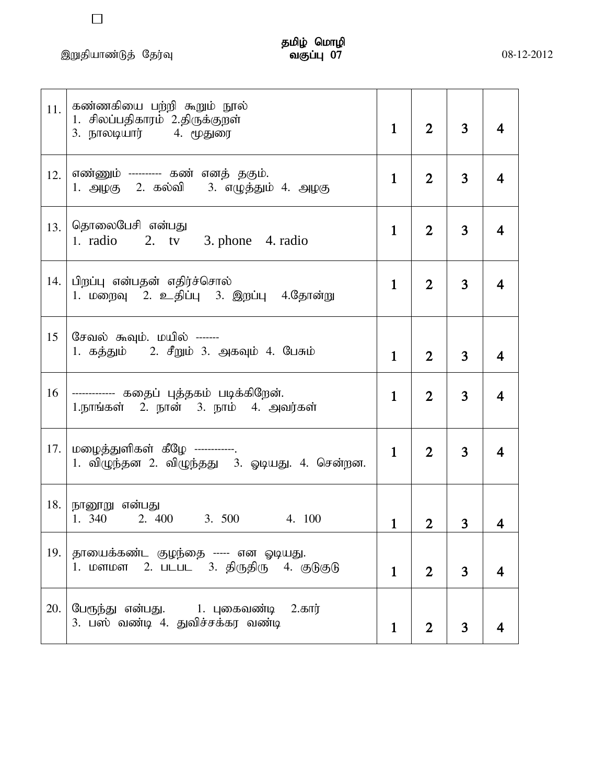,Wjpahz;Lj; Nju;T tFg;G 07 08-12-2012

 $\Box$ 

| 11. | கண்ணகியை பற்றி கூறும் நூல்<br>1. சிலப்பதிகாரம் 2.திருக்குறள்<br>3. நாலடியார்         4. மூதுரை | $\mathbf{1}$ | $\overline{2}$ | $\overline{3}$ | 4                       |
|-----|------------------------------------------------------------------------------------------------|--------------|----------------|----------------|-------------------------|
| 12. | எண்ணும் --------- கண் எனத் தகும்.<br>1. அழகு 2. கல்வி  3. எழுத்தும் 4. அழகு                    | $\mathbf{1}$ | $\overline{2}$ | $\overline{3}$ | $\overline{\mathbf{4}}$ |
| 13. | தொலைபேசி என்பது<br>1. radio 2. $tv$ 3. phone 4. radio                                          | $\mathbf{1}$ | $\overline{2}$ | 3              | 4                       |
| 14. | பிறப்பு என்பதன் எதிர்ச்சொல்<br>1. மறைவு 2. உதிப்பு 3. இறப்பு 4.தோன்று                          | $\mathbf{1}$ | $\overline{2}$ | 3              | 4                       |
| 15  | சேவல் கூவும். மயில் -------<br>1. கத்தும் – 2. சீறும் 3. அகவும் 4. பேசும்                      | $\mathbf{1}$ | $\overline{2}$ | $\overline{3}$ | 4                       |
| 16  | ------------- கதைப் புத்தகம் படிக்கிறேன்.<br>1.நாங்கள் 2. நான் 3. நாம் 4. அவர்கள்              | $\mathbf{1}$ | $\overline{2}$ | 3              | 4                       |
| 17. | மழைத்துளிகள் கீழே ------------.<br>1. விழுந்தன 2. விழுந்தது 3. ஓடியது. 4. சென்றன.              | $\mathbf{1}$ | $\overline{2}$ | 3              | 4                       |
| 18. | நானூறு என்பது<br>3. 500 4. 100<br>1. 340<br>2. 400                                             | $\mathbf{1}$ | $\overline{2}$ | 3              |                         |
| 19. | தாயைக்கண்ட குழந்தை ----- என ஓடியது.<br>1. மளமள 2. படபட 3. திருதிரு 4. குடுகுடு                 | $\mathbf{1}$ | $\overline{2}$ | 3              |                         |
| 20. | பேரூந்து என்பது.     1. புகைவண்டி<br>$2.\sigma$ ார்<br>3. பஸ் வண்டி 4. துவிச்சக்கர வண்டி       | $\mathbf{1}$ | $\overline{2}$ | 3              |                         |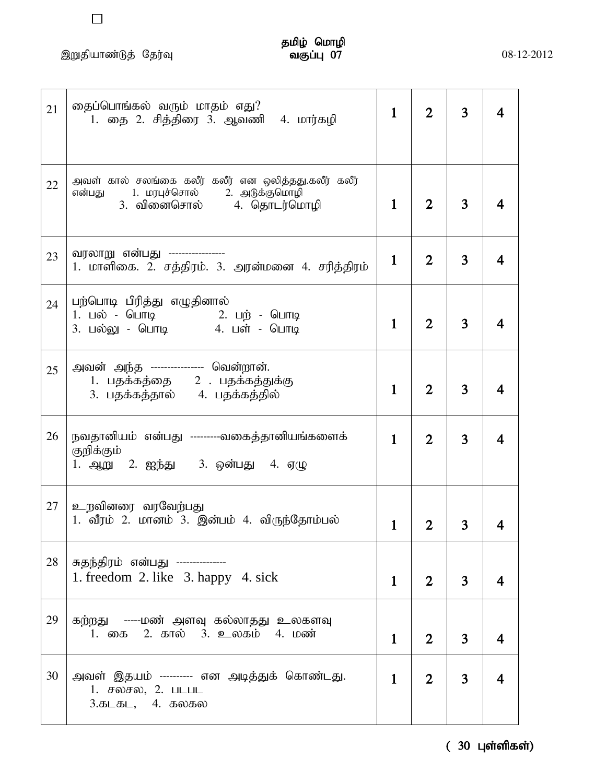$\Box$ 

| 21 | தைப்பொங்கல் வரும் மாதம் எது?<br>1. தை 2. சித்திரை 3. ஆவணி 4. மார்கழி                                                             | $\mathbf{1}$ | $\overline{2}$ | 3              |   |
|----|----------------------------------------------------------------------------------------------------------------------------------|--------------|----------------|----------------|---|
| 22 | அவள் கால் சலங்கை கலீர் கலீர் என ஒலித்தது.கலீர் கலீர்<br>1. மரபுச்சொல்       2. அடுக்குமொழி<br>என்பது<br>3. வினைசொல் 4. தொடர்மொழி | $\mathbf{1}$ | $\overline{2}$ | 3              |   |
| 23 | வரலாறு என்பது -----------------<br>1. மாளிகை. 2. சத்திரம். 3. அரன்மனை 4. சரித்திரம்                                              | $\mathbf{1}$ | $\overline{2}$ | 3              | 4 |
| 24 | பற்பொடி பிரித்து எழுதினால்                                                                                                       | $\mathbf{1}$ | $\overline{2}$ | 3              |   |
| 25 | அவன் அந்த ---------------- வென்றான்.<br>1. பதக்கத்தை $2$ பதக்கத்துக்கு<br>3. பதக்கத்தால் 4. பதக்கத்தில்                          | $\mathbf{1}$ | $\overline{2}$ | 3              |   |
| 26 | நவதானியம் என்பது ---------வகைத்தானியங்களைக்<br>குறிக்கும்<br>1. ஆறு 2. ஐந்து 3. ஒன்பது 4. ஏழு                                    | $\mathbf{1}$ | $\overline{2}$ | 3              | 4 |
| 27 | உறவினரை வரவேற்பது<br>1. வீரம் 2. மானம் 3. இன்பம் 4. விருந்தோம்பல்                                                                |              |                |                |   |
| 28 | சுதந்திரம் என்பது ---------------<br>1. freedom 2. like 3. happy 4. sick                                                         | $\mathbf{1}$ | $\overline{2}$ | 3              |   |
| 29 | கற்றது -----மண் அளவு கல்லாதது உலகளவு<br>1. கை 2. கால் 3. உலகம் 4. மண்                                                            | $\mathbf{1}$ | $\overline{2}$ | 3              |   |
| 30 | அவள் இதயம் ---------- என அடித்துக் கொண்டது.<br>1. சலசல, 2. படபட<br>$3.5L5L$ , 4. $50.50$                                         | $\mathbf{1}$ | 2 <sup>1</sup> | 3 <sup>7</sup> |   |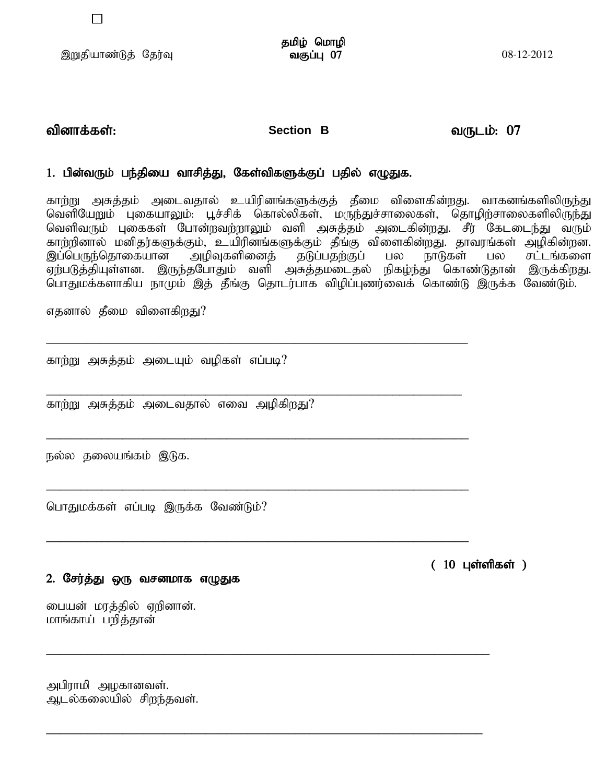$\Box$ 

## tpdhf;fs ;: **Section B** tUlk;: 07

## 1. பின்வரும் பந்தியை வாசித்து, கேள்விகளுக்குப் பதில் எழுதுக.

\_\_\_\_\_\_\_\_\_\_\_\_\_\_\_\_\_\_\_\_\_\_\_\_\_\_\_\_\_\_\_\_\_\_\_\_\_\_\_\_\_\_\_\_\_\_\_\_\_\_\_\_\_\_\_\_\_\_\_\_\_\_\_\_\_\_\_\_\_\_\_

\_\_\_\_\_\_\_\_\_\_\_\_\_\_\_\_\_\_\_\_\_\_\_\_\_\_\_\_\_\_\_\_\_\_\_\_\_\_\_\_\_\_\_\_\_\_\_\_\_\_\_\_\_\_\_\_\_\_\_\_

\_\_\_\_\_\_\_\_\_\_\_\_\_\_\_\_\_\_\_\_\_\_\_\_\_\_\_\_\_\_\_\_\_\_\_\_\_\_\_\_\_\_\_\_\_\_\_\_\_\_\_\_\_\_\_\_\_\_\_\_\_

\_\_\_\_\_\_\_\_\_\_\_\_\_\_\_\_\_\_\_\_\_\_\_\_\_\_\_\_\_\_\_\_\_\_\_\_\_\_\_\_\_\_\_\_\_\_\_\_\_\_\_\_\_\_\_\_\_\_\_\_\_

\_\_\_\_\_\_\_\_\_\_\_\_\_\_\_\_\_\_\_\_\_\_\_\_\_\_\_\_\_\_\_\_\_\_\_\_\_\_\_\_\_\_\_\_\_\_\_\_\_\_\_\_\_\_\_\_\_\_\_\_\_

\_\_\_\_\_\_\_\_\_\_\_\_\_\_\_\_\_\_\_\_\_\_\_\_\_\_\_\_\_\_\_\_\_\_\_\_\_\_\_\_\_\_\_\_\_\_\_\_\_\_\_\_\_\_\_\_\_\_\_\_\_\_\_\_

\_\_\_\_\_\_\_\_\_\_\_\_\_\_\_\_\_\_\_\_\_\_\_\_\_\_\_\_\_\_\_\_\_\_\_\_\_\_\_\_\_\_\_\_\_\_\_\_\_\_\_\_\_\_\_\_\_\_\_\_\_\_\_

காற்று அசுத்தம் அடைவதால் உயிரினங்களுக்குத் தீமை விளைகின்றது. வாகனங்களிலிருந்து வெளியேறும் புகையாலும். பூச்சிக் கொல்லிகள், மருந்துச்சாலைகள், தொழிற்சாலைகளிலிருந்து வெளிவரும் புகைகள் போன்றவற்றாலும் வளி அசுத்தம் அடைகின்றது. சீர் கேடடைந்து வரும் காற்றினால் மனிதர்களுக்கும், உயிரினங்களுக்கும் தீங்கு விளைகின்றது. தாவரங்கள் அழிகின்றன.<br>இப்பெருந்தொகையான அழிவுகளினைத் தடுப்பதற்குப் பல நாடுகள் பல சட்டங்களை ,g;ngUe;njhifahd mopTfspidj; jLg;gjw;Fg; gy ehLfs; gy rl ;lq;fis ,<br>ஏற்படுத்தியுள்ளன. இருந்தபோதும் வளி அசுத்தமடைதல் நிகழ்ந்து கொண்டுதான் இருக்கிறது. பொதுமக்களாகிய நாமும் இத் தீங்கு தொடர்பாக விழிப்புணர்வைக் கொண்டு இருக்க வேண்டும்.

எதனால் தீமை விளைகிறது?

காற்று அசுத்தம் அடையும் வமிகள் எப்படி?

காற்று அசுத்தம் அடைவதால் எவை அழிகிறது?

நல்ல தலையங்கம் இடுக.

பொதுமக்கள் எப்படி இருக்க வேண்டும்?

2. சேர்த்து ஒரு வசனமாக எழுதுக

பையன் மரத்தில் ஏறினான். மாங்காய் பறித்தான்

அபிராமி அழகானவள். அடல்கலையில் சிறந்தவள்.  $(10 \; \mu \text{sin} \theta)$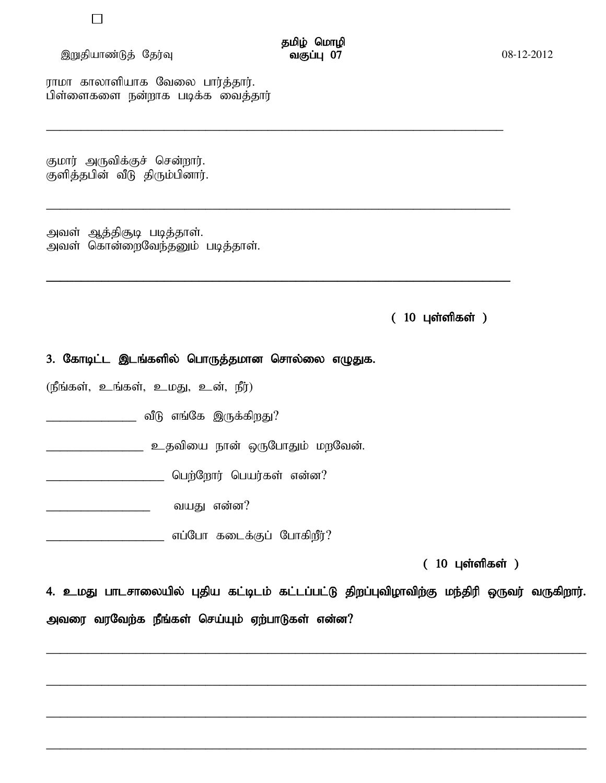### இறுதியாண்டுத் தேர்வு

ராமா காலாளியாக வேலை பார்த்தார். பிள்ளைகளை நன்றாக படிக்க வைத்தார்

குமார் அருவிக்குச் சென்றார். குளித்தபின் வீடு திரும்பினார்.

அவள் ஆத்திசூடி படித்தாள். அவள் கொன்றைவேந்தனும் படித்தாள்.

 $(10 \text{ L} \cdot \text{L} \cdot \text{L} \cdot \text{L} \cdot \text{L} \cdot \text{L} \cdot \text{L} \cdot \text{L} \cdot \text{L} \cdot \text{L} \cdot \text{L} \cdot \text{L} \cdot \text{L} \cdot \text{L} \cdot \text{L} \cdot \text{L} \cdot \text{L} \cdot \text{L} \cdot \text{L} \cdot \text{L} \cdot \text{L} \cdot \text{L} \cdot \text{L} \cdot \text{L} \cdot \text{L} \cdot \text{L} \cdot \text{L} \cdot \text{L} \cdot \text{L} \cdot \text{L} \cdot \text{L} \$ 

## 3. கோடிட்ட இடங்களில் பொருத்தமான சொல்லை எழுதுக.

(நீங்கள், உங்கள், உமது, உன், நீர்)

் பிரிவங்கே இருக்கிறது?

 $(10 \text{ L} \cdot \text{C} \cdot \text{C} \cdot \text{C} \cdot \text{D} \cdot \text{D} \cdot \text{D} \cdot \text{D} \cdot \text{D} \cdot \text{D} \cdot \text{D} \cdot \text{D} \cdot \text{D} \cdot \text{D} \cdot \text{D} \cdot \text{D} \cdot \text{D} \cdot \text{D} \cdot \text{D} \cdot \text{D} \cdot \text{D} \cdot \text{D} \cdot \text{D} \cdot \text{D} \cdot \text{D} \cdot \text{D} \cdot \text{D} \cdot \text{D} \cdot \text{D} \cdot \text{D} \cdot \text{D} \$ 

4. உமது பாடசாலையில் புதிய கட்டிடம் கட்டப்பட்டு திறப்புவிழாவிற்கு மந்திரி ஒருவர் வருகிறார். அவரை வரவேற்க நீங்கள் செய்யும் ஏற்பாடுகள் என்ன?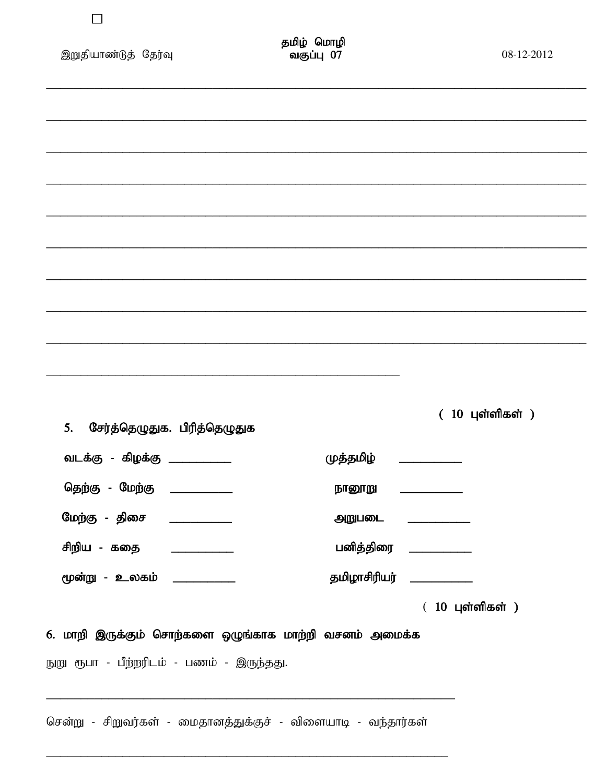| இறுதியாண்டுத் தேர்வு                                                                                | தமிழ் மொழி<br>வகுப்பு 07  | 08-12-2012                       |
|-----------------------------------------------------------------------------------------------------|---------------------------|----------------------------------|
|                                                                                                     |                           |                                  |
|                                                                                                     |                           |                                  |
|                                                                                                     |                           |                                  |
|                                                                                                     |                           |                                  |
|                                                                                                     |                           |                                  |
|                                                                                                     |                           |                                  |
|                                                                                                     |                           |                                  |
|                                                                                                     |                           |                                  |
| சேர்த்தெழுதுக. பிரித்தெழுதுக<br>5.                                                                  |                           | $(10 \text{ }$ புள்ளிகள் $)$     |
| வடக்கு - கிழக்கு _____________                                                                      | முத்தமிழ் ___________     |                                  |
| தெற்கு - மேற்கு ____________                                                                        | நானூறு ___________        |                                  |
| மேற்கு - திசை _____________                                                                         |                           | அறுபடை ___________               |
| சிறிய - கதை <u>____________</u>                                                                     |                           | பனித்திரை _ <b>________</b> ____ |
| மூன்று - உலகம் ____________                                                                         | தமிழாசிரியர் ____________ |                                  |
| 6. மாறி இருக்கும் சொற்களை ஒழுங்காக மாற்றி வசனம் அமைக்க<br>நுறு ரூபா - பீற்றரிடம் - பணம் - இருந்தது. |                           | $(10 \text{ }$ புள்ளிகள் $)$     |
| சென்று - சிறுவர்கள் - மைதானத்துக்குச் - விளையாடி - வந்தார்கள்                                       |                           |                                  |